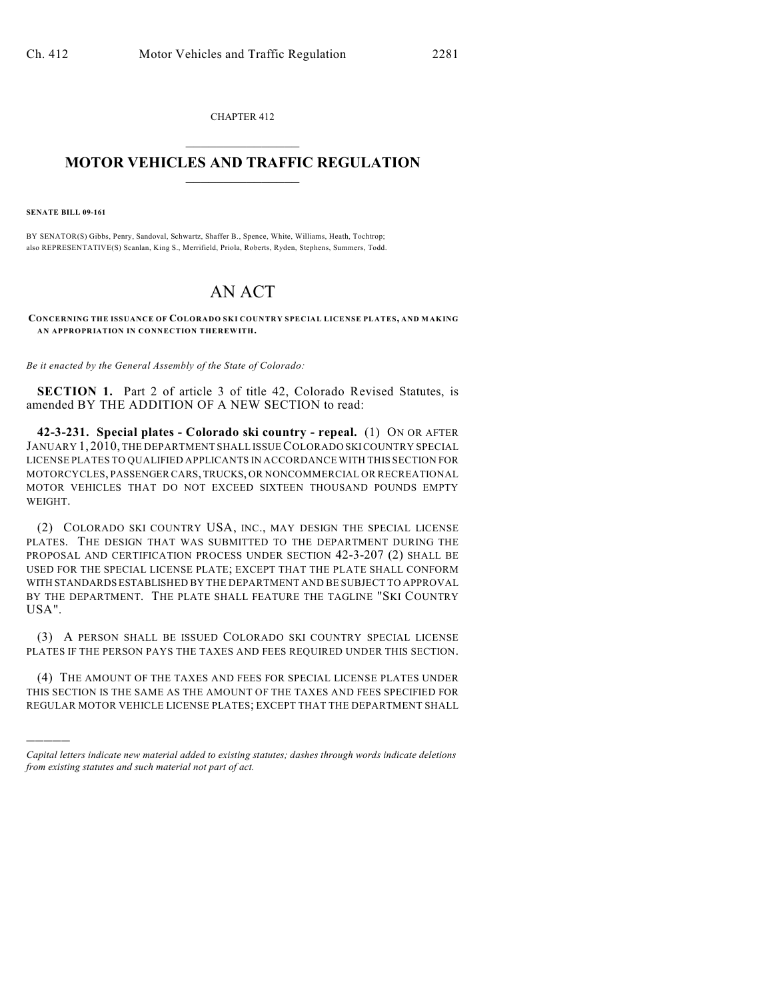CHAPTER 412  $\mathcal{L}_\text{max}$  . The set of the set of the set of the set of the set of the set of the set of the set of the set of the set of the set of the set of the set of the set of the set of the set of the set of the set of the set

## **MOTOR VEHICLES AND TRAFFIC REGULATION**  $\frac{1}{2}$  ,  $\frac{1}{2}$  ,  $\frac{1}{2}$  ,  $\frac{1}{2}$  ,  $\frac{1}{2}$  ,  $\frac{1}{2}$  ,  $\frac{1}{2}$  ,  $\frac{1}{2}$

**SENATE BILL 09-161**

)))))

BY SENATOR(S) Gibbs, Penry, Sandoval, Schwartz, Shaffer B., Spence, White, Williams, Heath, Tochtrop; also REPRESENTATIVE(S) Scanlan, King S., Merrifield, Priola, Roberts, Ryden, Stephens, Summers, Todd.

## AN ACT

**CONCERNING THE ISSUANCE OF COLORADO SKI COUNTRY SPECIAL LICENSE PLATES, AND MAKING AN APPROPRIATION IN CONNECTION THEREWITH.**

*Be it enacted by the General Assembly of the State of Colorado:*

**SECTION 1.** Part 2 of article 3 of title 42, Colorado Revised Statutes, is amended BY THE ADDITION OF A NEW SECTION to read:

**42-3-231. Special plates - Colorado ski country - repeal.** (1) ON OR AFTER JANUARY 1, 2010, THE DEPARTMENT SHALL ISSUE COLORADO SKI COUNTRY SPECIAL LICENSE PLATES TO QUALIFIED APPLICANTS IN ACCORDANCE WITH THIS SECTION FOR MOTORCYCLES, PASSENGER CARS, TRUCKS, OR NONCOMMERCIAL OR RECREATIONAL MOTOR VEHICLES THAT DO NOT EXCEED SIXTEEN THOUSAND POUNDS EMPTY WEIGHT.

(2) COLORADO SKI COUNTRY USA, INC., MAY DESIGN THE SPECIAL LICENSE PLATES. THE DESIGN THAT WAS SUBMITTED TO THE DEPARTMENT DURING THE PROPOSAL AND CERTIFICATION PROCESS UNDER SECTION 42-3-207 (2) SHALL BE USED FOR THE SPECIAL LICENSE PLATE; EXCEPT THAT THE PLATE SHALL CONFORM WITH STANDARDS ESTABLISHED BY THE DEPARTMENT AND BE SUBJECT TO APPROVAL BY THE DEPARTMENT. THE PLATE SHALL FEATURE THE TAGLINE "SKI COUNTRY USA".

(3) A PERSON SHALL BE ISSUED COLORADO SKI COUNTRY SPECIAL LICENSE PLATES IF THE PERSON PAYS THE TAXES AND FEES REQUIRED UNDER THIS SECTION.

(4) THE AMOUNT OF THE TAXES AND FEES FOR SPECIAL LICENSE PLATES UNDER THIS SECTION IS THE SAME AS THE AMOUNT OF THE TAXES AND FEES SPECIFIED FOR REGULAR MOTOR VEHICLE LICENSE PLATES; EXCEPT THAT THE DEPARTMENT SHALL

*Capital letters indicate new material added to existing statutes; dashes through words indicate deletions from existing statutes and such material not part of act.*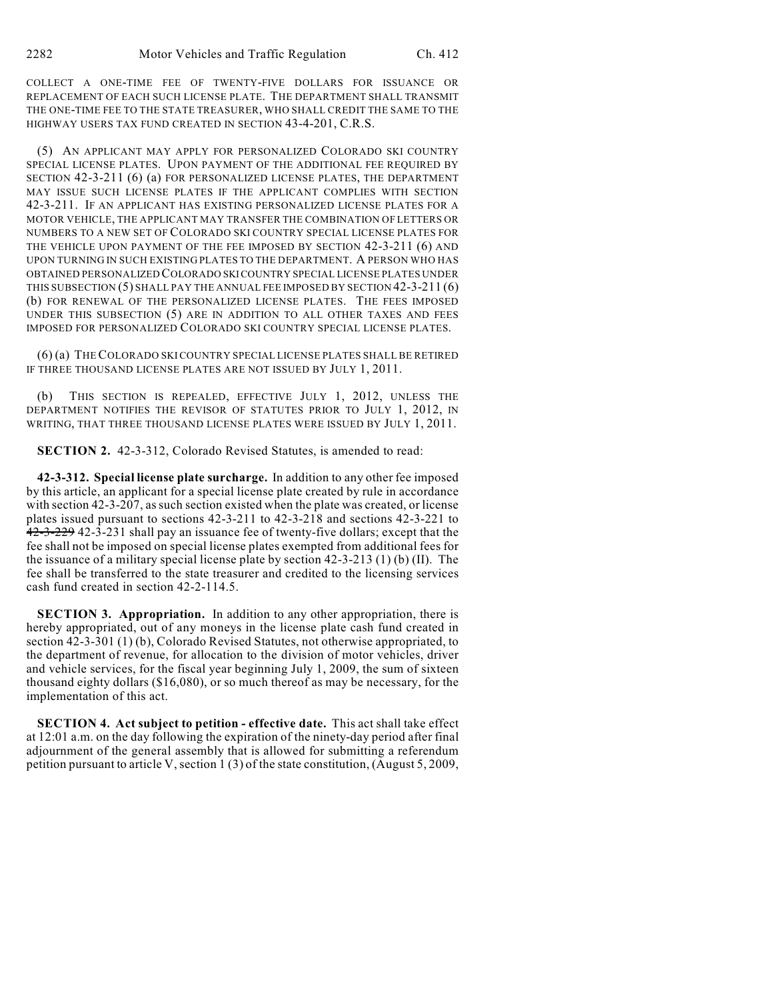COLLECT A ONE-TIME FEE OF TWENTY-FIVE DOLLARS FOR ISSUANCE OR REPLACEMENT OF EACH SUCH LICENSE PLATE. THE DEPARTMENT SHALL TRANSMIT THE ONE-TIME FEE TO THE STATE TREASURER, WHO SHALL CREDIT THE SAME TO THE HIGHWAY USERS TAX FUND CREATED IN SECTION 43-4-201, C.R.S.

(5) AN APPLICANT MAY APPLY FOR PERSONALIZED COLORADO SKI COUNTRY SPECIAL LICENSE PLATES. UPON PAYMENT OF THE ADDITIONAL FEE REQUIRED BY SECTION 42-3-211 (6) (a) FOR PERSONALIZED LICENSE PLATES, THE DEPARTMENT MAY ISSUE SUCH LICENSE PLATES IF THE APPLICANT COMPLIES WITH SECTION 42-3-211. IF AN APPLICANT HAS EXISTING PERSONALIZED LICENSE PLATES FOR A MOTOR VEHICLE, THE APPLICANT MAY TRANSFER THE COMBINATION OF LETTERS OR NUMBERS TO A NEW SET OF COLORADO SKI COUNTRY SPECIAL LICENSE PLATES FOR THE VEHICLE UPON PAYMENT OF THE FEE IMPOSED BY SECTION 42-3-211 (6) AND UPON TURNING IN SUCH EXISTING PLATES TO THE DEPARTMENT. A PERSON WHO HAS OBTAINED PERSONALIZED COLORADO SKI COUNTRY SPECIAL LICENSE PLATES UNDER THIS SUBSECTION (5) SHALL PAY THE ANNUAL FEE IMPOSED BY SECTION 42-3-211 (6) (b) FOR RENEWAL OF THE PERSONALIZED LICENSE PLATES. THE FEES IMPOSED UNDER THIS SUBSECTION (5) ARE IN ADDITION TO ALL OTHER TAXES AND FEES IMPOSED FOR PERSONALIZED COLORADO SKI COUNTRY SPECIAL LICENSE PLATES.

(6) (a) THE COLORADO SKICOUNTRY SPECIAL LICENSE PLATES SHALL BE RETIRED IF THREE THOUSAND LICENSE PLATES ARE NOT ISSUED BY JULY 1, 2011.

THIS SECTION IS REPEALED, EFFECTIVE JULY 1, 2012, UNLESS THE DEPARTMENT NOTIFIES THE REVISOR OF STATUTES PRIOR TO JULY 1, 2012, IN WRITING, THAT THREE THOUSAND LICENSE PLATES WERE ISSUED BY JULY 1, 2011.

**SECTION 2.** 42-3-312, Colorado Revised Statutes, is amended to read:

**42-3-312. Special license plate surcharge.** In addition to any other fee imposed by this article, an applicant for a special license plate created by rule in accordance with section 42-3-207, as such section existed when the plate was created, or license plates issued pursuant to sections 42-3-211 to 42-3-218 and sections 42-3-221 to 42-3-229 42-3-231 shall pay an issuance fee of twenty-five dollars; except that the fee shall not be imposed on special license plates exempted from additional fees for the issuance of a military special license plate by section 42-3-213 (1) (b) (II). The fee shall be transferred to the state treasurer and credited to the licensing services cash fund created in section 42-2-114.5.

**SECTION 3. Appropriation.** In addition to any other appropriation, there is hereby appropriated, out of any moneys in the license plate cash fund created in section 42-3-301 (1) (b), Colorado Revised Statutes, not otherwise appropriated, to the department of revenue, for allocation to the division of motor vehicles, driver and vehicle services, for the fiscal year beginning July 1, 2009, the sum of sixteen thousand eighty dollars (\$16,080), or so much thereof as may be necessary, for the implementation of this act.

**SECTION 4. Act subject to petition - effective date.** This act shall take effect at 12:01 a.m. on the day following the expiration of the ninety-day period after final adjournment of the general assembly that is allowed for submitting a referendum petition pursuant to article V, section 1 (3) of the state constitution, (August 5, 2009,